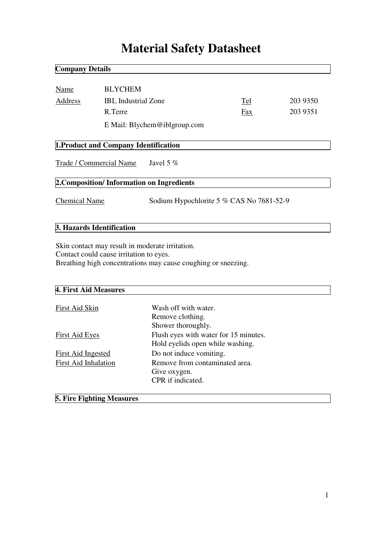# **Material Safety Datasheet**

| <b>Company Details</b>                    |                                         |                                                                                                                  |     |          |
|-------------------------------------------|-----------------------------------------|------------------------------------------------------------------------------------------------------------------|-----|----------|
|                                           |                                         |                                                                                                                  |     |          |
| Name                                      |                                         | <b>BLYCHEM</b>                                                                                                   |     |          |
| Address                                   | <b>IBL</b> Industrial Zone              |                                                                                                                  | Tel | 203 9350 |
|                                           | R.Terre                                 |                                                                                                                  | Fax | 203 9351 |
|                                           |                                         | E Mail: Blychem@iblgroup.com                                                                                     |     |          |
|                                           |                                         |                                                                                                                  |     |          |
|                                           | 1. Product and Company Identification   |                                                                                                                  |     |          |
| Trade / Commercial Name Javel 5 %         |                                         |                                                                                                                  |     |          |
| 2. Composition/Information on Ingredients |                                         |                                                                                                                  |     |          |
| <b>Chemical Name</b>                      |                                         | Sodium Hypochlorite 5 % CAS No 7681-52-9                                                                         |     |          |
| 3. Hazards Identification                 |                                         |                                                                                                                  |     |          |
|                                           | Contact could cause irritation to eyes. | Skin contact may result in moderate irritation.<br>Breathing high concentrations may cause coughing or sneezing. |     |          |

# **4. First Aid Measures**

| First Aid Skin              | Wash off with water.                  |
|-----------------------------|---------------------------------------|
|                             | Remove clothing.                      |
|                             | Shower thoroughly.                    |
| <b>First Aid Eyes</b>       | Flush eyes with water for 15 minutes. |
|                             | Hold eyelids open while washing.      |
| <b>First Aid Ingested</b>   | Do not induce vomiting.               |
| <b>First Aid Inhalation</b> | Remove from contaminated area.        |
|                             | Give oxygen.                          |
|                             | CPR if indicated.                     |
|                             |                                       |

# **5. Fire Fighting Measures**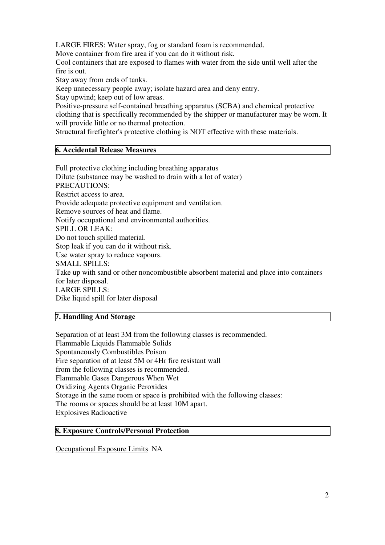LARGE FIRES: Water spray, fog or standard foam is recommended.

Move container from fire area if you can do it without risk.

Cool containers that are exposed to flames with water from the side until well after the fire is out.

Stay away from ends of tanks.

Keep unnecessary people away; isolate hazard area and deny entry.

Stay upwind; keep out of low areas.

Positive-pressure self-contained breathing apparatus (SCBA) and chemical protective clothing that is specifically recommended by the shipper or manufacturer may be worn. It will provide little or no thermal protection.

Structural firefighter's protective clothing is NOT effective with these materials.

#### **6. Accidental Release Measures**

Full protective clothing including breathing apparatus Dilute (substance may be washed to drain with a lot of water) PRECAUTIONS: Restrict access to area. Provide adequate protective equipment and ventilation. Remove sources of heat and flame. Notify occupational and environmental authorities. SPILL OR LEAK: Do not touch spilled material. Stop leak if you can do it without risk. Use water spray to reduce vapours. SMALL SPILLS: Take up with sand or other noncombustible absorbent material and place into containers for later disposal. LARGE SPILLS: Dike liquid spill for later disposal

### **7. Handling And Storage**

Separation of at least 3M from the following classes is recommended. Flammable Liquids Flammable Solids Spontaneously Combustibles Poison Fire separation of at least 5M or 4Hr fire resistant wall from the following classes is recommended. Flammable Gases Dangerous When Wet Oxidizing Agents Organic Peroxides Storage in the same room or space is prohibited with the following classes: The rooms or spaces should be at least 10M apart. Explosives Radioactive

#### **8. Exposure Controls/Personal Protection**

Occupational Exposure Limits NA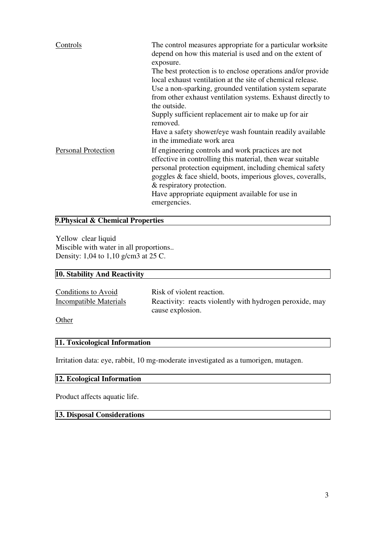| Controls                   | The control measures appropriate for a particular worksite<br>depend on how this material is used and on the extent of<br>exposure.<br>The best protection is to enclose operations and/or provide<br>local exhaust ventilation at the site of chemical release.<br>Use a non-sparking, grounded ventilation system separate<br>from other exhaust ventilation systems. Exhaust directly to<br>the outside.<br>Supply sufficient replacement air to make up for air<br>removed. |
|----------------------------|---------------------------------------------------------------------------------------------------------------------------------------------------------------------------------------------------------------------------------------------------------------------------------------------------------------------------------------------------------------------------------------------------------------------------------------------------------------------------------|
|                            | Have a safety shower/eye wash fountain readily available<br>in the immediate work area                                                                                                                                                                                                                                                                                                                                                                                          |
| <b>Personal Protection</b> | If engineering controls and work practices are not<br>effective in controlling this material, then wear suitable<br>personal protection equipment, including chemical safety<br>goggles & face shield, boots, imperious gloves, coveralls,<br>& respiratory protection.<br>Have appropriate equipment available for use in<br>emergencies.                                                                                                                                      |

#### **9.Physical & Chemical Properties**

Yellow clear liquid Miscible with water in all proportions.. Density: 1,04 to 1,10 g/cm3 at 25 C.

# **10. Stability And Reactivity**

| Conditions to Avoid    | Risk of violent reaction.                                |
|------------------------|----------------------------------------------------------|
| Incompatible Materials | Reactivity: reacts violently with hydrogen peroxide, may |
|                        | cause explosion.                                         |
| $\bigcap_{i=1}^n$      |                                                          |

**Other** 

### **11. Toxicological Information**

Irritation data: eye, rabbit, 10 mg-moderate investigated as a tumorigen, mutagen.

# **12. Ecological Information**

Product affects aquatic life.

# **13. Disposal Considerations**